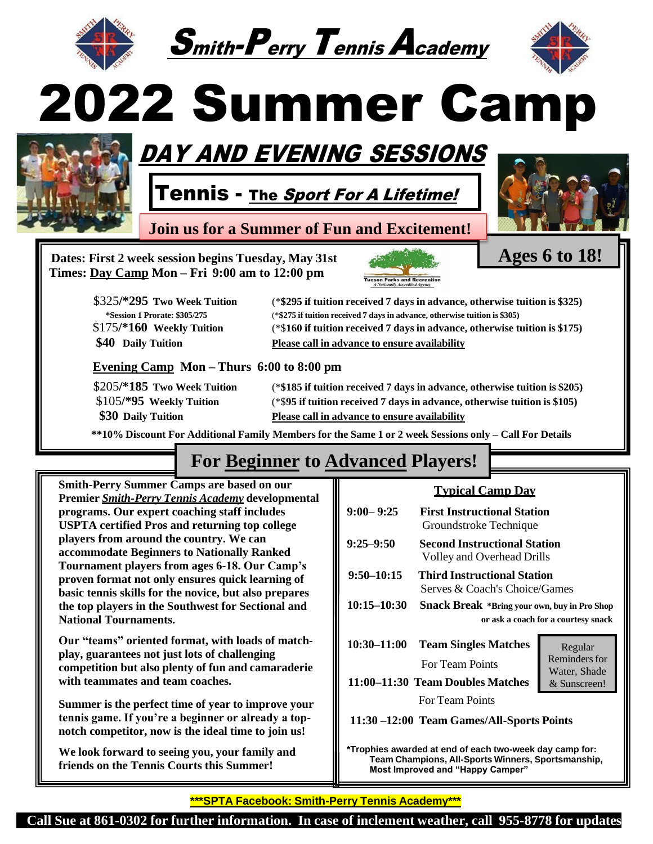





# 2022 Summer Camp



## DAY AND EVENING SESSIONS

Tennis - <sub>The *Sport For A Lifetime!*</sub>

**Join us for a Summer of Fun and Excitement!**



**Ages 6 to 18!**

**Dates: First 2 week session begins Tuesday, May 31st Times: Day Camp Mon – Fri 9:00 am to 12:00 pm**



| \$325/*295 Two Week Tuition          | (*\$295 if tuition received 7 days in advance, otherwise tuition is \$325) |
|--------------------------------------|----------------------------------------------------------------------------|
| <i>*Session 1 Prorate: \$305/275</i> | (*\$275 if tuition received 7 days in advance, otherwise tuition is \$305) |
| $$175$ /*160 Weekly Tuition          | (*\$160 if tuition received 7 days in advance, otherwise tuition is \$175) |
| \$40 Daily Tuition                   | Please call in advance to ensure availability                              |

#### **Evening Camp Mon – Thurs 6:00 to 8:00 pm**

\$205**/\*185 Two Week Tuition** (\***\$185 if tuition received 7 days in advance, otherwise tuition is \$205)** \$105**/\*95 Weekly Tuition** (\*\$**95 if tuition received 7 days in advance, otherwise tuition is \$105) \$30 Daily Tuition Please call in advance to ensure availability**

\*\*10% Discount For Additional Family Members for the Same 1 or 2 week Sessions only - Call For Details

## **For Beginner to Advanced Players!**

**Smith-Perry Summer Camps are based on our Premier** *Smith-Perry Tennis Academy* **developmental programs. Our expert coaching staff includes USPTA certified Pros and returning top college players from around the country. We can accommodate Beginners to Nationally Ranked Tournament players from ages 6-18. Our Camp's proven format not only ensures quick learning of basic tennis skills for the novice, but also prepares the top players in the Southwest for Sectional and National Tournaments.**

**Our "teams" oriented format, with loads of matchplay, guarantees not just lots of challenging competition but also plenty of fun and camaraderie with teammates and team coaches.**

**Summer is the perfect time of year to improve your tennis game. If you're a beginner or already a topnotch competitor, now is the ideal time to join us!**

**We look forward to seeing you, your family and friends on the Tennis Courts this Summer!**

## **Typical Camp Day**

| $9:00 - 9:25$                                             | <b>First Instructional Station</b><br>Groundstroke Technique                               |                                      |  |
|-----------------------------------------------------------|--------------------------------------------------------------------------------------------|--------------------------------------|--|
| $9:25 - 9:50$                                             | <b>Second Instructional Station</b><br>Volley and Overhead Drills                          |                                      |  |
| $9:50 - 10:15$                                            | Third Instructional Station<br>Serves & Coach's Choice/Games                               |                                      |  |
| $10:15 - 10:30$                                           | <b>Snack Break</b> *Bring your own, buy in Pro Shop<br>or ask a coach for a courtesy snack |                                      |  |
| 10:30-11:00                                               | <b>Team Singles Matches</b>                                                                | Regular                              |  |
|                                                           | <b>For Team Points</b>                                                                     | <b>Reminders for</b><br>Water, Shade |  |
| 11:00–11:30 Team Doubles Matches<br>& Sunscreen!          |                                                                                            |                                      |  |
|                                                           | <b>For Team Points</b>                                                                     |                                      |  |
| 11:30 -12:00 Team Games/All-Sports Points                 |                                                                                            |                                      |  |
| *Tranbias surardad at and af sook ture wook dou somn far. |                                                                                            |                                      |  |

**\*Trophies awarded at end of each two-week day camp for: Team Champions, All-Sports Winners, Sportsmanship, Most Improved and "Happy Camper"**

**\*\*\*SPTA Facebook: Smith-Perry Tennis Academy\*\*\***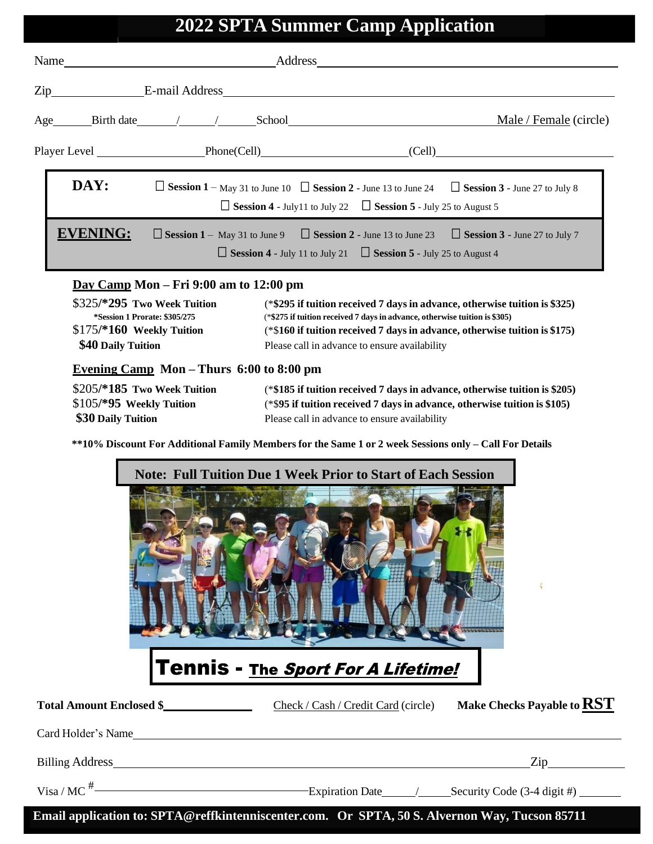### **2022 SPTA Summer Camp Application**

| Name               |                           | Address                                                                                                                                                                                         |                                      |
|--------------------|---------------------------|-------------------------------------------------------------------------------------------------------------------------------------------------------------------------------------------------|--------------------------------------|
| Zip E-mail Address |                           |                                                                                                                                                                                                 |                                      |
|                    | Age Birth date / / School |                                                                                                                                                                                                 | Male / Female (circle)               |
|                    | Player Level Phone(Cell)  |                                                                                                                                                                                                 | (Cell)                               |
| DAY:               |                           | $\Box$ Session 1 – May 31 to June 10 $\Box$ Session 2 - June 13 to June 24 $\Box$ Session 3 - June 27 to July 8<br>$\Box$ Session 4 - July 11 to July 22 $\Box$ Session 5 - July 25 to August 5 |                                      |
| EVENING:           |                           | $\Box$ Session 1 – May 31 to June 9 $\Box$ Session 2 - June 13 to June 23<br>$\Box$ Session 4 - July 11 to July 21 $\Box$ Session 5 - July 25 to August 4                                       | $\Box$ Session 3 - June 27 to July 7 |

#### **Day Camp Mon – Fri 9:00 am to 12:00 pm**

| \$325/*295 Two Week Tuition          | (*\$295 if tuition received 7 days in advance, otherwise tuition is \$325) |
|--------------------------------------|----------------------------------------------------------------------------|
| <i>*Session 1 Prorate: \$305/275</i> | (*\$275 if tuition received 7 days in advance, otherwise tuition is \$305) |
| $$175/*160$ Weekly Tuition           | (*\$160 if tuition received 7 days in advance, otherwise tuition is \$175) |
| \$40 Daily Tuition                   | Please call in advance to ensure availability                              |
|                                      |                                                                            |

#### **Evening Camp Mon – Thurs 6:00 to 8:00 pm**

| $$205/*185$ Two Week Tuition | (*\$185 if tuition received 7 days in advance, otherwise tuition is \$205) |
|------------------------------|----------------------------------------------------------------------------|
| $$105/*95$ Weekly Tuition    | (*\$95 if tuition received 7 days in advance, otherwise tuition is \$105)  |
| \$30 Daily Tuition           | Please call in advance to ensure availability                              |

\*\*10% Discount For Additional Family Members for the Same 1 or 2 week Sessions only - Call For Details



## **Total Amount Enclosed \$** Check / Cash / Credit Card (circle) **Make Checks Payable toRST** Card Holder's Name Billing Address Zip Zip Visa / MC $#$ Expiration Date / Security Code (3-4 digit #)

**Email application to: [SPTA@reffkintenniscenter.com.](about:blank) Or SPTA, 50 S. Alvernon Way, Tucson 85711**